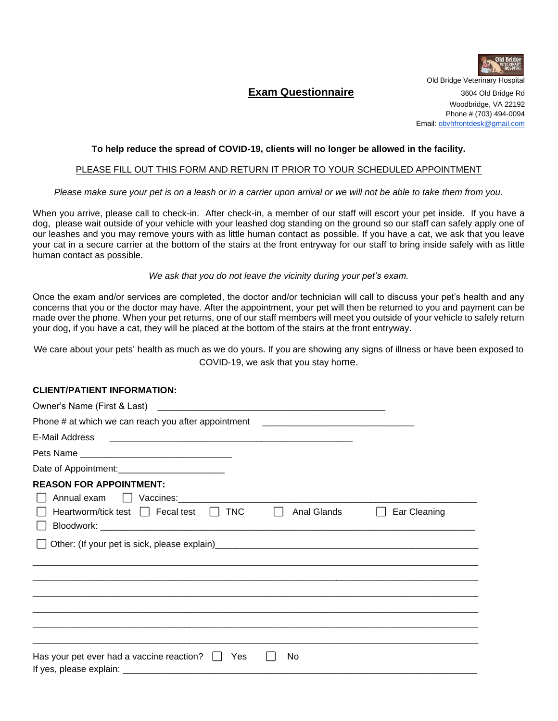

Old Bridge Veterinary Hospital

## **Exam Questionnaire 3604 Old Bridge Rd**

Woodbridge, VA 22192 Phone # (703) 494-0094 Email[: obvhfrontdesk@gmail.com](mailto:obvhfrontdesk@gmail.com)

## **To help reduce the spread of COVID-19, clients will no longer be allowed in the facility.**

## PLEASE FILL OUT THIS FORM AND RETURN IT PRIOR TO YOUR SCHEDULED APPOINTMENT

*Please make sure your pet is on a leash or in a carrier upon arrival or we will not be able to take them from you.*

When you arrive, please call to check-in. After check-in, a member of our staff will escort your pet inside. If you have a dog, please wait outside of your vehicle with your leashed dog standing on the ground so our staff can safely apply one of our leashes and you may remove yours with as little human contact as possible. If you have a cat, we ask that you leave your cat in a secure carrier at the bottom of the stairs at the front entryway for our staff to bring inside safely with as little human contact as possible.

*We ask that you do not leave the vicinity during your pet's exam.*

Once the exam and/or services are completed, the doctor and/or technician will call to discuss your pet's health and any concerns that you or the doctor may have. After the appointment, your pet will then be returned to you and payment can be made over the phone. When your pet returns, one of our staff members will meet you outside of your vehicle to safely return your dog, if you have a cat, they will be placed at the bottom of the stairs at the front entryway.

We care about your pets' health as much as we do yours. If you are showing any signs of illness or have been exposed to COVID-19, we ask that you stay home.

## **CLIENT/PATIENT INFORMATION:**

| Phone # at which we can reach you after appointment ____________________________ |             |              |
|----------------------------------------------------------------------------------|-------------|--------------|
| E-Mail Address                                                                   |             |              |
|                                                                                  |             |              |
|                                                                                  |             |              |
| <b>REASON FOR APPOINTMENT:</b><br>Annual exam U Vaccines: 1997 March 2014        |             |              |
| Heartworm/tick test $\Box$ Fecal test $\Box$ TNC                                 | Anal Glands | Ear Cleaning |
|                                                                                  |             |              |
|                                                                                  |             |              |
|                                                                                  |             |              |
| Has your pet ever had a vaccine reaction? $\Box$<br>Yes                          | No          |              |